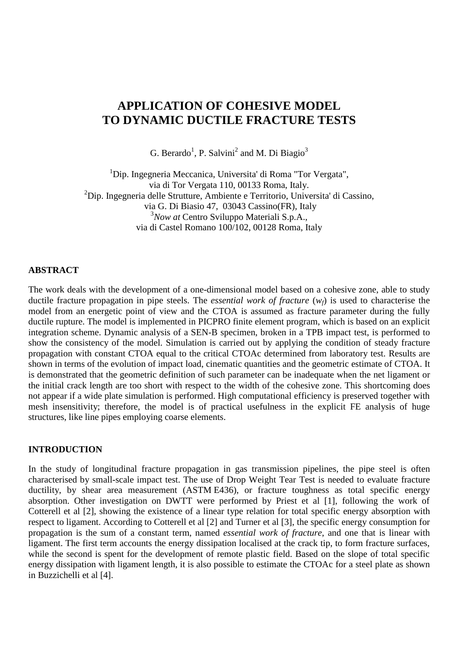# **APPLICATION OF COHESIVE MODEL TO DYNAMIC DUCTILE FRACTURE TESTS**

G. Berardo<sup>1</sup>, P. Salvini<sup>2</sup> and M. Di Biagio<sup>3</sup>

<sup>1</sup>Dip. Ingegneria Meccanica, Universita' di Roma "Tor Vergata", via di Tor Vergata 110, 00133 Roma, Italy.  $^{2}$ Dip. Ingegneria delle Strutture, Ambiente e Territorio, Universita' di Cassino, via G. Di Biasio 47, 03043 Cassino(FR), Italy 3 *Now at* Centro Sviluppo Materiali S.p.A., via di Castel Romano 100/102, 00128 Roma, Italy

## **ABSTRACT**

The work deals with the development of a one-dimensional model based on a cohesive zone, able to study ductile fracture propagation in pipe steels. The *essential work of fracture* (*wf*) is used to characterise the model from an energetic point of view and the CTOA is assumed as fracture parameter during the fully ductile rupture. The model is implemented in PICPRO finite element program, which is based on an explicit integration scheme. Dynamic analysis of a SEN-B specimen, broken in a TPB impact test, is performed to show the consistency of the model. Simulation is carried out by applying the condition of steady fracture propagation with constant CTOA equal to the critical CTOAc determined from laboratory test. Results are shown in terms of the evolution of impact load, cinematic quantities and the geometric estimate of CTOA. It is demonstrated that the geometric definition of such parameter can be inadequate when the net ligament or the initial crack length are too short with respect to the width of the cohesive zone. This shortcoming does not appear if a wide plate simulation is performed. High computational efficiency is preserved together with mesh insensitivity; therefore, the model is of practical usefulness in the explicit FE analysis of huge structures, like line pipes employing coarse elements.

## **INTRODUCTION**

In the study of longitudinal fracture propagation in gas transmission pipelines, the pipe steel is often characterised by small-scale impact test. The use of Drop Weight Tear Test is needed to evaluate fracture ductility, by shear area measurement (ASTM E436), or fracture toughness as total specific energy absorption. Other investigation on DWTT were performed by Priest et al [1], following the work of Cotterell et al [2], showing the existence of a linear type relation for total specific energy absorption with respect to ligament. According to Cotterell et al [2] and Turner et al [3], the specific energy consumption for propagation is the sum of a constant term, named *essential work of fracture*, and one that is linear with ligament. The first term accounts the energy dissipation localised at the crack tip, to form fracture surfaces, while the second is spent for the development of remote plastic field. Based on the slope of total specific energy dissipation with ligament length, it is also possible to estimate the CTOAc for a steel plate as shown in Buzzichelli et al [4].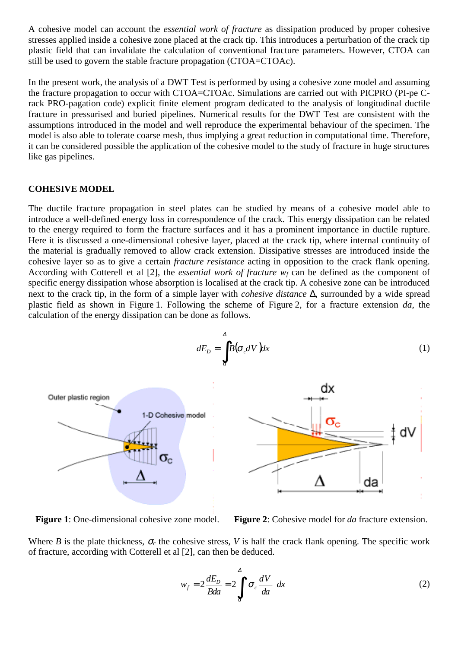A cohesive model can account the *essential work of fracture* as dissipation produced by proper cohesive stresses applied inside a cohesive zone placed at the crack tip. This introduces a perturbation of the crack tip plastic field that can invalidate the calculation of conventional fracture parameters. However, CTOA can still be used to govern the stable fracture propagation (CTOA=CTOAc).

In the present work, the analysis of a DWT Test is performed by using a cohesive zone model and assuming the fracture propagation to occur with CTOA=CTOAc. Simulations are carried out with PICPRO (PI-pe Crack PRO-pagation code) explicit finite element program dedicated to the analysis of longitudinal ductile fracture in pressurised and buried pipelines. Numerical results for the DWT Test are consistent with the assumptions introduced in the model and well reproduce the experimental behaviour of the specimen. The model is also able to tolerate coarse mesh, thus implying a great reduction in computational time. Therefore, it can be considered possible the application of the cohesive model to the study of fracture in huge structures like gas pipelines.

# **COHESIVE MODEL**

The ductile fracture propagation in steel plates can be studied by means of a cohesive model able to introduce a well-defined energy loss in correspondence of the crack. This energy dissipation can be related to the energy required to form the fracture surfaces and it has a prominent importance in ductile rupture. Here it is discussed a one-dimensional cohesive layer, placed at the crack tip, where internal continuity of the material is gradually removed to allow crack extension. Dissipative stresses are introduced inside the cohesive layer so as to give a certain *fracture resistance* acting in opposition to the crack flank opening. According with Cotterell et al [2], the *essential work of fracture*  $w_f$  can be defined as the component of specific energy dissipation whose absorption is localised at the crack tip. A cohesive zone can be introduced next to the crack tip, in the form of a simple layer with *cohesive distance* ∆, surrounded by a wide spread plastic field as shown in Figure 1. Following the scheme of Figure 2, for a fracture extension *da*, the calculation of the energy dissipation can be done as follows.



**Figure 1**: One-dimensional cohesive zone model. **Figure 2**: Cohesive model for *da* fracture extension.

Where *B* is the plate thickness,  $\sigma_c$  the cohesive stress, *V* is half the crack flank opening. The specific work of fracture, according with Cotterell et al [2], can then be deduced.

$$
w_f = 2\frac{dE_D}{Bda} = 2\int_0^A \left(\sigma_c \frac{dV}{da}\right) dx\tag{2}
$$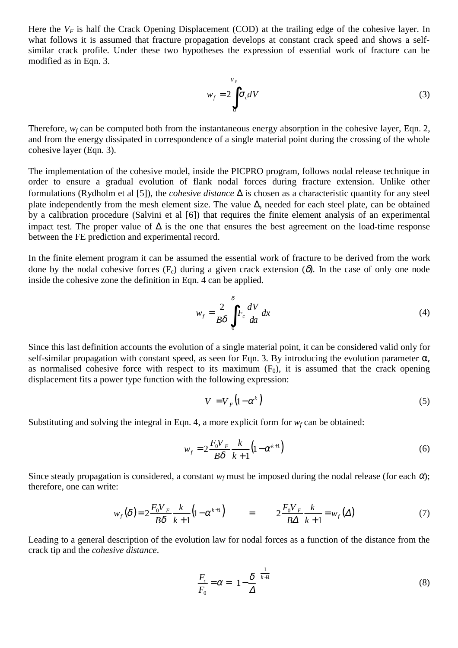Here the  $V_F$  is half the Crack Opening Displacement (COD) at the trailing edge of the cohesive layer. In what follows it is assumed that fracture propagation develops at constant crack speed and shows a selfsimilar crack profile. Under these two hypotheses the expression of essential work of fracture can be modified as in Eqn. 3.

$$
w_f = 2 \int_0^{V_F} \sigma_c dV \tag{3}
$$

Therefore,  $w_f$  can be computed both from the instantaneous energy absorption in the cohesive layer, Eqn. 2, and from the energy dissipated in correspondence of a single material point during the crossing of the whole cohesive layer (Eqn. 3).

The implementation of the cohesive model, inside the PICPRO program, follows nodal release technique in order to ensure a gradual evolution of flank nodal forces during fracture extension. Unlike other formulations (Rydholm et al [5]), the *cohesive distance* ∆ is chosen as a characteristic quantity for any steel plate independently from the mesh element size. The value ∆, needed for each steel plate, can be obtained by a calibration procedure (Salvini et al [6]) that requires the finite element analysis of an experimental impact test. The proper value of  $\Delta$  is the one that ensures the best agreement on the load-time response between the FE prediction and experimental record.

In the finite element program it can be assumed the essential work of fracture to be derived from the work done by the nodal cohesive forces (F<sub>c</sub>) during a given crack extension (δ). In the case of only one node inside the cohesive zone the definition in Eqn. 4 can be applied.

$$
w_f = \frac{2}{B\delta} \int_0^{\delta} F_c \frac{dV}{da} dx
$$
 (4)

Since this last definition accounts the evolution of a single material point, it can be considered valid only for self-similar propagation with constant speed, as seen for Eqn. 3. By introducing the evolution parameter  $\alpha$ , as normalised cohesive force with respect to its maximum  $(F_0)$ , it is assumed that the crack opening displacement fits a power type function with the following expression:

$$
V = V_F \left(1 - \alpha^k\right) \tag{5}
$$

Substituting and solving the integral in Eqn. 4, a more explicit form for  $w_f$  can be obtained:

$$
w_f = 2 \frac{F_0 V_F}{B \delta} \frac{k}{k+1} \left( 1 - \alpha^{k+1} \right)
$$
 (6)

Since steady propagation is considered, a constant  $w_f$  must be imposed during the nodal release (for each  $\alpha$ ); therefore, one can write:

$$
w_f(\delta) = 2 \frac{F_0 V_F}{B \delta} \frac{k}{k+1} (1 - \alpha^{k+1}) = 2 \frac{F_0 V_F}{B \Delta} \frac{k}{k+1} = w_f(\Delta)
$$
 (7)

Leading to a general description of the evolution law for nodal forces as a function of the distance from the crack tip and the *cohesive distance*.

$$
\frac{F_c}{F_0} = \alpha = \left(1 - \frac{\delta}{\Delta}\right)^{\frac{1}{k+1}}
$$
\n(8)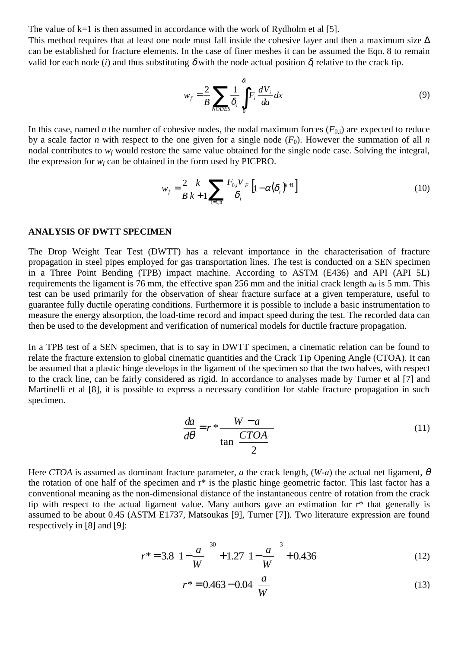The value of  $k=1$  is then assumed in accordance with the work of Rydholm et al [5].

This method requires that at least one node must fall inside the cohesive layer and then a maximum size  $\Delta$ can be established for fracture elements. In the case of finer meshes it can be assumed the Eqn. 8 to remain valid for each node (*i*) and thus substituting  $\delta$  with the node actual position  $\delta$ *i* relative to the crack tip.

$$
w_f = \frac{2}{B} \sum_{NODES} \frac{1}{\delta_i} \int_0^{\delta_i} F_i \frac{dV_i}{da} dx
$$
 (9)

In this case, named *n* the number of cohesive nodes, the nodal maximum forces  $(F_{0,i})$  are expected to reduce by a scale factor *n* with respect to the one given for a single node  $(F_0)$ . However the summation of all *n* nodal contributes to  $w_f$  would restore the same value obtained for the single node case. Solving the integral, the expression for  $w_f$  can be obtained in the form used by PICPRO.

$$
w_f = \frac{2}{B} \frac{k}{k+1} \sum_{i=1,n} \frac{F_{0,i} V_F}{\delta_i} \left[ 1 - \alpha (\delta_i)^{k+1} \right]
$$
(10)

#### **ANALYSIS OF DWTT SPECIMEN**

The Drop Weight Tear Test (DWTT) has a relevant importance in the characterisation of fracture propagation in steel pipes employed for gas transportation lines. The test is conducted on a SEN specimen in a Three Point Bending (TPB) impact machine. According to ASTM (E436) and API (API 5L) requirements the ligament is 76 mm, the effective span 256 mm and the initial crack length  $a_0$  is 5 mm. This test can be used primarily for the observation of shear fracture surface at a given temperature, useful to guarantee fully ductile operating conditions. Furthermore it is possible to include a basic instrumentation to measure the energy absorption, the load-time record and impact speed during the test. The recorded data can then be used to the development and verification of numerical models for ductile fracture propagation.

In a TPB test of a SEN specimen, that is to say in DWTT specimen, a cinematic relation can be found to relate the fracture extension to global cinematic quantities and the Crack Tip Opening Angle (CTOA). It can be assumed that a plastic hinge develops in the ligament of the specimen so that the two halves, with respect to the crack line, can be fairly considered as rigid. In accordance to analyses made by Turner et al [7] and Martinelli et al [8], it is possible to express a necessary condition for stable fracture propagation in such specimen.

$$
\frac{da}{d\theta} = r * \frac{W - a}{\tan\left(\frac{CTOA}{2}\right)}\tag{11}
$$

Here *CTOA* is assumed as dominant fracture parameter, *a* the crack length, (*W-a*) the actual net ligament, θ the rotation of one half of the specimen and r\* is the plastic hinge geometric factor. This last factor has a conventional meaning as the non-dimensional distance of the instantaneous centre of rotation from the crack tip with respect to the actual ligament value. Many authors gave an estimation for r\* that generally is assumed to be about 0.45 (ASTM E1737, Matsoukas [9], Turner [7]). Two literature expression are found respectively in [8] and [9]:

$$
r^* = 3.8 \left( 1 - \frac{a}{W} \right)^{30} + 1.27 \left( 1 - \frac{a}{W} \right)^3 + 0.436 \tag{12}
$$

$$
r^* = 0.463 - 0.04 \left(\frac{a}{W}\right)
$$
 (13)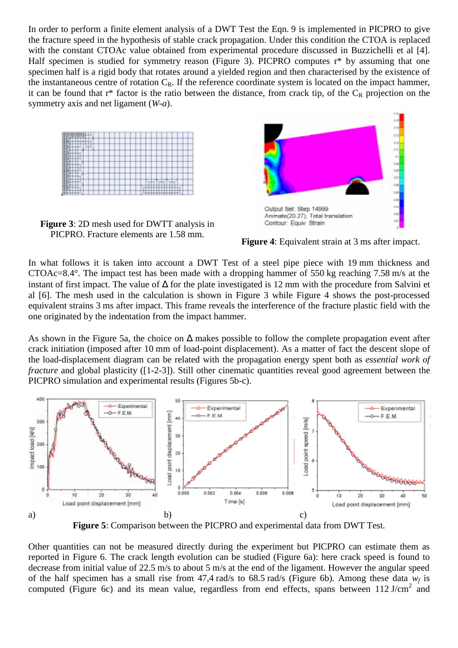In order to perform a finite element analysis of a DWT Test the Eqn. 9 is implemented in PICPRO to give the fracture speed in the hypothesis of stable crack propagation. Under this condition the CTOA is replaced with the constant CTOAc value obtained from experimental procedure discussed in Buzzichelli et al [4]. Half specimen is studied for symmetry reason (Figure 3). PICPRO computes r<sup>\*</sup> by assuming that one specimen half is a rigid body that rotates around a yielded region and then characterised by the existence of the instantaneous centre of rotation  $C_R$ . If the reference coordinate system is located on the impact hammer, it can be found that  $r^*$  factor is the ratio between the distance, from crack tip, of the  $C_R$  projection on the symmetry axis and net ligament (*W*-*a*).



**Figure 3**: 2D mesh used for DWTT analysis in PICPRO. Fracture elements are 1.58 mm.



**Figure 4**: Equivalent strain at 3 ms after impact.

In what follows it is taken into account a DWT Test of a steel pipe piece with 19 mm thickness and CTOAc=8.4°. The impact test has been made with a dropping hammer of 550 kg reaching 7.58 m/s at the instant of first impact. The value of ∆ for the plate investigated is 12 mm with the procedure from Salvini et al [6]. The mesh used in the calculation is shown in Figure 3 while Figure 4 shows the post-processed equivalent strains 3 ms after impact. This frame reveals the interference of the fracture plastic field with the one originated by the indentation from the impact hammer.

As shown in the Figure 5a, the choice on  $\Delta$  makes possible to follow the complete propagation event after crack initiation (imposed after 10 mm of load-point displacement). As a matter of fact the descent slope of the load-displacement diagram can be related with the propagation energy spent both as *essential work of fracture* and global plasticity ([1-2-3]). Still other cinematic quantities reveal good agreement between the PICPRO simulation and experimental results (Figures 5b-c).



**Figure 5**: Comparison between the PICPRO and experimental data from DWT Test.

Other quantities can not be measured directly during the experiment but PICPRO can estimate them as reported in Figure 6. The crack length evolution can be studied (Figure 6a): here crack speed is found to decrease from initial value of 22.5 m/s to about 5 m/s at the end of the ligament. However the angular speed of the half specimen has a small rise from  $47.4$  rad/s to  $68.5$  rad/s (Figure 6b). Among these data  $w_f$  is computed (Figure 6c) and its mean value, regardless from end effects, spans between  $112$  J/cm<sup>2</sup> and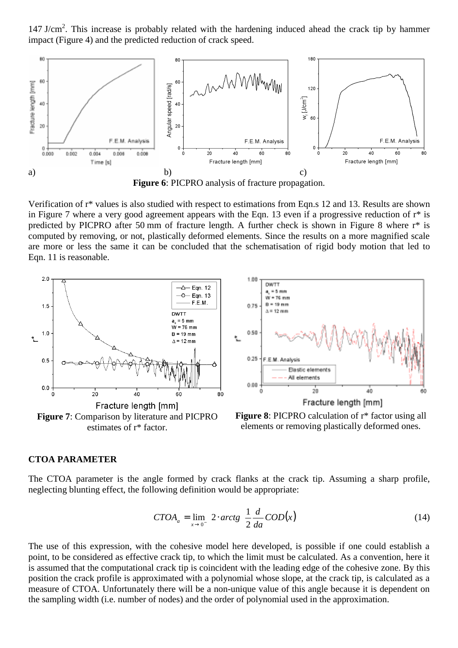147 J/cm<sup>2</sup>. This increase is probably related with the hardening induced ahead the crack tip by hammer impact (Figure 4) and the predicted reduction of crack speed.



**Figure 6**: PICPRO analysis of fracture propagation.

Verification of r\* values is also studied with respect to estimations from Eqn.s 12 and 13. Results are shown in Figure 7 where a very good agreement appears with the Eqn. 13 even if a progressive reduction of r\* is predicted by PICPRO after 50 mm of fracture length. A further check is shown in Figure 8 where r\* is computed by removing, or not, plastically deformed elements. Since the results on a more magnified scale are more or less the same it can be concluded that the schematisation of rigid body motion that led to Eqn. 11 is reasonable.





**Figure 8:** PICPRO calculation of  $r^*$  factor using all elements or removing plastically deformed ones.

### **CTOA PARAMETER**

The CTOA parameter is the angle formed by crack flanks at the crack tip. Assuming a sharp profile, neglecting blunting effect, the following definition would be appropriate:

$$
CTOA_a = \lim_{x \to 0} \left( 2 \cdot \arctg \left( \frac{1}{2} \frac{d}{da} COD(x) \right) \right)
$$
 (14)

The use of this expression, with the cohesive model here developed, is possible if one could establish a point, to be considered as effective crack tip, to which the limit must be calculated. As a convention, here it is assumed that the computational crack tip is coincident with the leading edge of the cohesive zone. By this position the crack profile is approximated with a polynomial whose slope, at the crack tip, is calculated as a measure of CTOA. Unfortunately there will be a non-unique value of this angle because it is dependent on the sampling width (i.e. number of nodes) and the order of polynomial used in the approximation.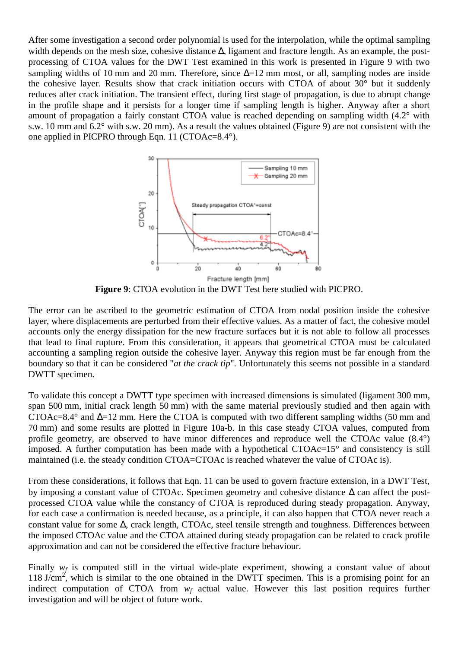After some investigation a second order polynomial is used for the interpolation, while the optimal sampling width depends on the mesh size, cohesive distance  $\Delta$ , ligament and fracture length. As an example, the postprocessing of CTOA values for the DWT Test examined in this work is presented in Figure 9 with two sampling widths of 10 mm and 20 mm. Therefore, since  $\Delta = 12$  mm most, or all, sampling nodes are inside the cohesive layer. Results show that crack initiation occurs with CTOA of about 30° but it suddenly reduces after crack initiation. The transient effect, during first stage of propagation, is due to abrupt change in the profile shape and it persists for a longer time if sampling length is higher. Anyway after a short amount of propagation a fairly constant CTOA value is reached depending on sampling width (4.2° with s.w. 10 mm and 6.2° with s.w. 20 mm). As a result the values obtained (Figure 9) are not consistent with the one applied in PICPRO through Eqn. 11 (CTOAc=8.4°).



**Figure 9**: CTOA evolution in the DWT Test here studied with PICPRO.

The error can be ascribed to the geometric estimation of CTOA from nodal position inside the cohesive layer, where displacements are perturbed from their effective values. As a matter of fact, the cohesive model accounts only the energy dissipation for the new fracture surfaces but it is not able to follow all processes that lead to final rupture. From this consideration, it appears that geometrical CTOA must be calculated accounting a sampling region outside the cohesive layer. Anyway this region must be far enough from the boundary so that it can be considered "*at the crack tip*". Unfortunately this seems not possible in a standard DWTT specimen.

To validate this concept a DWTT type specimen with increased dimensions is simulated (ligament 300 mm, span 500 mm, initial crack length 50 mm) with the same material previously studied and then again with CTOAc=8.4° and ∆=12 mm. Here the CTOA is computed with two different sampling widths (50 mm and 70 mm) and some results are plotted in Figure 10a-b. In this case steady CTOA values, computed from profile geometry, are observed to have minor differences and reproduce well the CTOAc value (8.4°) imposed. A further computation has been made with a hypothetical CTOAc=15° and consistency is still maintained (i.e. the steady condition CTOA=CTOAc is reached whatever the value of CTOAc is).

From these considerations, it follows that Eqn. 11 can be used to govern fracture extension, in a DWT Test, by imposing a constant value of CTOAc. Specimen geometry and cohesive distance ∆ can affect the postprocessed CTOA value while the constancy of CTOA is reproduced during steady propagation. Anyway, for each case a confirmation is needed because, as a principle, it can also happen that CTOA never reach a constant value for some ∆, crack length, CTOAc, steel tensile strength and toughness. Differences between the imposed CTOAc value and the CTOA attained during steady propagation can be related to crack profile approximation and can not be considered the effective fracture behaviour.

Finally  $w_f$  is computed still in the virtual wide-plate experiment, showing a constant value of about 118 J/cm<sup>2</sup>, which is similar to the one obtained in the DWTT specimen. This is a promising point for an indirect computation of CTOA from  $w_f$  actual value. However this last position requires further investigation and will be object of future work.